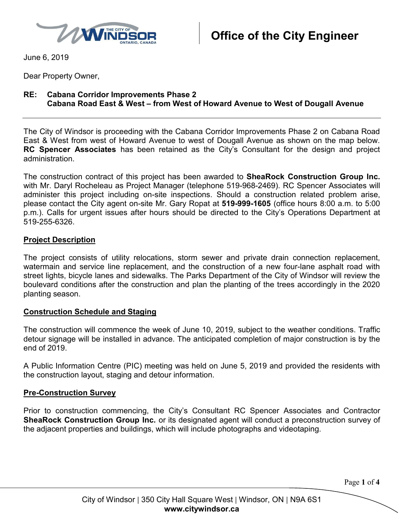

June 6, 2019

Dear Property Owner,

# **RE: Cabana Corridor Improvements Phase 2 Cabana Road East & West – from West of Howard Avenue to West of Dougall Avenue**

The City of Windsor is proceeding with the Cabana Corridor Improvements Phase 2 on Cabana Road East & West from west of Howard Avenue to west of Dougall Avenue as shown on the map below. **RC Spencer Associates** has been retained as the City's Consultant for the design and project administration.

The construction contract of this project has been awarded to **SheaRock Construction Group Inc.** with Mr. Daryl Rocheleau as Project Manager (telephone 519-968-2469). RC Spencer Associates will administer this project including on-site inspections. Should a construction related problem arise, please contact the City agent on-site Mr. Gary Ropat at **519-999-1605** (office hours 8:00 a.m. to 5:00 p.m.). Calls for urgent issues after hours should be directed to the City's Operations Department at 519-255-6326.

# **Project Description**

The project consists of utility relocations, storm sewer and private drain connection replacement, watermain and service line replacement, and the construction of a new four-lane asphalt road with street lights, bicycle lanes and sidewalks. The Parks Department of the City of Windsor will review the boulevard conditions after the construction and plan the planting of the trees accordingly in the 2020 planting season.

# **Construction Schedule and Staging**

The construction will commence the week of June 10, 2019, subject to the weather conditions. Traffic detour signage will be installed in advance. The anticipated completion of major construction is by the end of 2019.

A Public Information Centre (PIC) meeting was held on June 5, 2019 and provided the residents with the construction layout, staging and detour information.

# **Pre-Construction Survey**

Prior to construction commencing, the City's Consultant RC Spencer Associates and Contractor **SheaRock Construction Group Inc.** or its designated agent will conduct a preconstruction survey of the adjacent properties and buildings, which will include photographs and videotaping.

Page **1** of **4**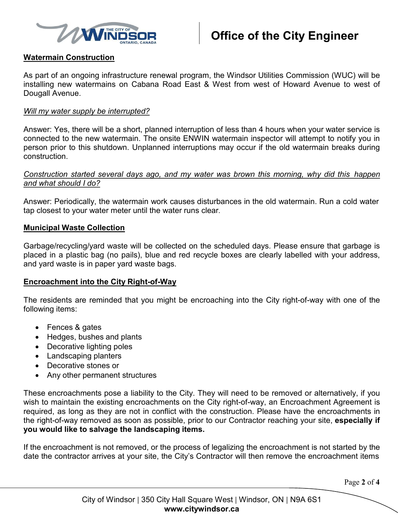

# **Watermain Construction**

As part of an ongoing infrastructure renewal program, the Windsor Utilities Commission (WUC) will be installing new watermains on Cabana Road East & West from west of Howard Avenue to west of Dougall Avenue.

#### *Will my water supply be interrupted?*

Answer: Yes, there will be a short, planned interruption of less than 4 hours when your water service is connected to the new watermain. The onsite ENWIN watermain inspector will attempt to notify you in person prior to this shutdown. Unplanned interruptions may occur if the old watermain breaks during construction.

### *Construction started several days ago, and my water was brown this morning, why did this happen and what should I do?*

Answer: Periodically, the watermain work causes disturbances in the old watermain. Run a cold water tap closest to your water meter until the water runs clear.

#### **Municipal Waste Collection**

Garbage/recycling/yard waste will be collected on the scheduled days. Please ensure that garbage is placed in a plastic bag (no pails), blue and red recycle boxes are clearly labelled with your address, and yard waste is in paper yard waste bags.

# **Encroachment into the City Right-of-Way**

The residents are reminded that you might be encroaching into the City right-of-way with one of the following items:

- Fences & gates
- Hedges, bushes and plants
- Decorative lighting poles
- Landscaping planters
- Decorative stones or
- Any other permanent structures

These encroachments pose a liability to the City. They will need to be removed or alternatively, if you wish to maintain the existing encroachments on the City right-of-way, an Encroachment Agreement is required, as long as they are not in conflict with the construction. Please have the encroachments in the right-of-way removed as soon as possible, prior to our Contractor reaching your site, **especially if you would like to salvage the landscaping items.**

If the encroachment is not removed, or the process of legalizing the encroachment is not started by the date the contractor arrives at your site, the City's Contractor will then remove the encroachment items

Page **2** of **4**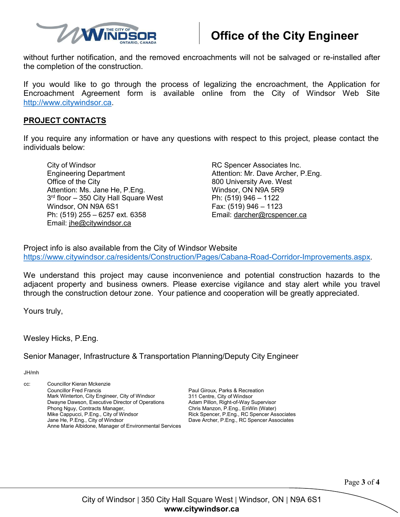

# **Office of the City Engineer**

without further notification, and the removed encroachments will not be salvaged or re-installed after the completion of the construction.

If you would like to go through the process of legalizing the encroachment, the Application for Encroachment Agreement form is available online from the City of Windsor Web Site [http://www.citywindsor.ca.](http://www.citywindsor.ca/)

### **PROJECT CONTACTS**

If you require any information or have any questions with respect to this project, please contact the individuals below:

City of Windsor **Research Associates Inc. RC Spencer Associates Inc.** Engineering Department Attention: Mr. Dave Archer, P.Eng. Office of the City **800 University Ave.** West Attention: Ms. Jane He, P.Eng. Windsor, ON N9A 5R9 3<sup>rd</sup> floor – 350 City Hall Square West Ph: (519) 946 – 1122 Windsor, ON N9A 6S1 Fax: (519) 946 - 1123 Ph: (519) 255 – 6257 ext. 6358 Email: [darcher@rcspencer.ca](mailto:darcher@rcspencer.ca) Email: [jhe@citywindsor.ca](mailto:jhe@citywindsor.ca)

Project info is also available from the City of Windsor Website [https://www.citywindsor.ca/residents/Construction/Pages/Cabana-Road-Corridor-Improvements.aspx.](https://www.citywindsor.ca/residents/Construction/Pages/Cabana-Road-Corridor-Improvements.aspx)

We understand this project may cause inconvenience and potential construction hazards to the adjacent property and business owners. Please exercise vigilance and stay alert while you travel through the construction detour zone. Your patience and cooperation will be greatly appreciated.

Yours truly,

Wesley Hicks, P.Eng.

Senior Manager, Infrastructure & Transportation Planning/Deputy City Engineer

JH/mh

| CC: | Councillor Kieran Mckenzie                                                                 |                                                                                    |
|-----|--------------------------------------------------------------------------------------------|------------------------------------------------------------------------------------|
|     | <b>Councillor Fred Francis</b>                                                             | Paul Giroux, Parks & Recreation                                                    |
|     | Mark Winterton, City Engineer, City of Windsor                                             | 311 Centre, City of Windsor                                                        |
|     | Dwayne Dawson, Executive Director of Operations                                            | Adam Pillon, Right-of-Way Supervisor                                               |
|     | Phong Nguy, Contracts Manager,<br>Mike Cappucci, P.Eng., City of Windsor                   | Chris Manzon, P.Eng., EnWin (Water)<br>Rick Spencer, P.Eng., RC Spencer Associates |
|     | Jane He, P.Eng., City of Windsor<br>Anne Marie Albidone, Manager of Environmental Services | Dave Archer, P.Eng., RC Spencer Associates                                         |

Page **3** of **4**